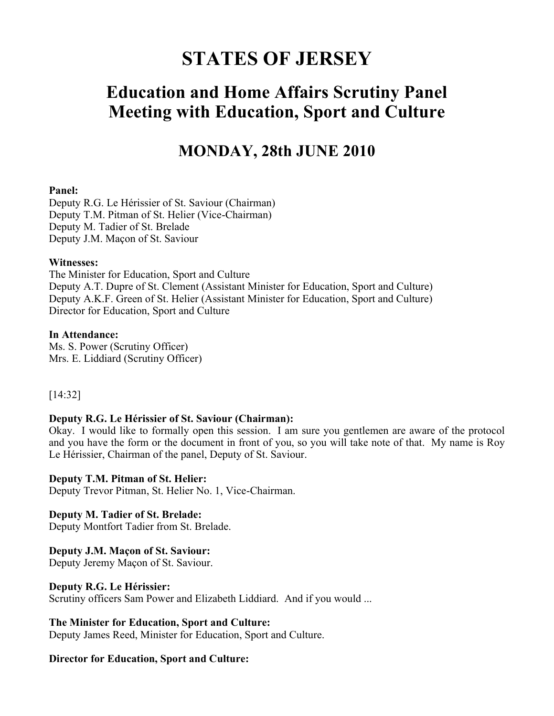# **STATES OF JERSEY**

# **Education and Home Affairs Scrutiny Panel Meeting with Education, Sport and Culture**

# **MONDAY, 28th JUNE 2010**

#### **Panel:**

Deputy R.G. Le Hérissier of St. Saviour (Chairman) Deputy T.M. Pitman of St. Helier (Vice-Chairman) Deputy M. Tadier of St. Brelade Deputy J.M. Maçon of St. Saviour

#### **Witnesses:**

The Minister for Education, Sport and Culture Deputy A.T. Dupre of St. Clement (Assistant Minister for Education, Sport and Culture) Deputy A.K.F. Green of St. Helier (Assistant Minister for Education, Sport and Culture) Director for Education, Sport and Culture

#### **In Attendance:**

Ms. S. Power (Scrutiny Officer) Mrs. E. Liddiard (Scrutiny Officer)

# [14:32]

# **Deputy R.G. Le Hérissier of St. Saviour (Chairman):**

Okay. I would like to formally open this session. I am sure you gentlemen are aware of the protocol and you have the form or the document in front of you, so you will take note of that. My name is Roy Le Hérissier, Chairman of the panel, Deputy of St. Saviour.

# **Deputy T.M. Pitman of St. Helier:**

Deputy Trevor Pitman, St. Helier No. 1, Vice-Chairman.

# **Deputy M. Tadier of St. Brelade:**

Deputy Montfort Tadier from St. Brelade.

# **Deputy J.M. Maçon of St. Saviour:**

Deputy Jeremy Maçon of St. Saviour.

# **Deputy R.G. Le Hérissier:**

Scrutiny officers Sam Power and Elizabeth Liddiard. And if you would ...

# **The Minister for Education, Sport and Culture:**

Deputy James Reed, Minister for Education, Sport and Culture.

# **Director for Education, Sport and Culture:**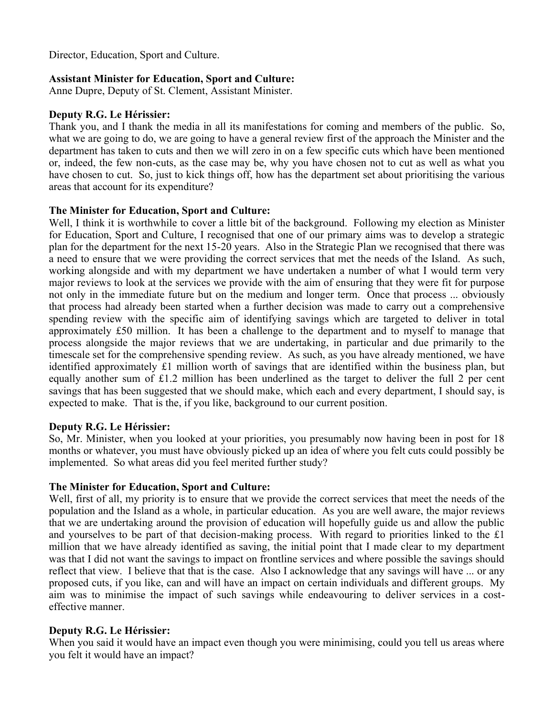Director, Education, Sport and Culture.

# **Assistant Minister for Education, Sport and Culture:**

Anne Dupre, Deputy of St. Clement, Assistant Minister.

# **Deputy R.G. Le Hérissier:**

Thank you, and I thank the media in all its manifestations for coming and members of the public. So, what we are going to do, we are going to have a general review first of the approach the Minister and the department has taken to cuts and then we will zero in on a few specific cuts which have been mentioned or, indeed, the few non-cuts, as the case may be, why you have chosen not to cut as well as what you have chosen to cut. So, just to kick things off, how has the department set about prioritising the various areas that account for its expenditure?

# **The Minister for Education, Sport and Culture:**

Well, I think it is worthwhile to cover a little bit of the background. Following my election as Minister for Education, Sport and Culture, I recognised that one of our primary aims was to develop a strategic plan for the department for the next 15-20 years. Also in the Strategic Plan we recognised that there was a need to ensure that we were providing the correct services that met the needs of the Island. As such, working alongside and with my department we have undertaken a number of what I would term very major reviews to look at the services we provide with the aim of ensuring that they were fit for purpose not only in the immediate future but on the medium and longer term. Once that process ... obviously that process had already been started when a further decision was made to carry out a comprehensive spending review with the specific aim of identifying savings which are targeted to deliver in total approximately £50 million. It has been a challenge to the department and to myself to manage that process alongside the major reviews that we are undertaking, in particular and due primarily to the timescale set for the comprehensive spending review. As such, as you have already mentioned, we have identified approximately £1 million worth of savings that are identified within the business plan, but equally another sum of £1.2 million has been underlined as the target to deliver the full 2 per cent savings that has been suggested that we should make, which each and every department, I should say, is expected to make. That is the, if you like, background to our current position.

# **Deputy R.G. Le Hérissier:**

So, Mr. Minister, when you looked at your priorities, you presumably now having been in post for 18 months or whatever, you must have obviously picked up an idea of where you felt cuts could possibly be implemented. So what areas did you feel merited further study?

# **The Minister for Education, Sport and Culture:**

Well, first of all, my priority is to ensure that we provide the correct services that meet the needs of the population and the Island as a whole, in particular education. As you are well aware, the major reviews that we are undertaking around the provision of education will hopefully guide us and allow the public and yourselves to be part of that decision-making process. With regard to priorities linked to the £1 million that we have already identified as saving, the initial point that I made clear to my department was that I did not want the savings to impact on frontline services and where possible the savings should reflect that view. I believe that that is the case. Also I acknowledge that any savings will have ... or any proposed cuts, if you like, can and will have an impact on certain individuals and different groups. My aim was to minimise the impact of such savings while endeavouring to deliver services in a costeffective manner.

# **Deputy R.G. Le Hérissier:**

When you said it would have an impact even though you were minimising, could you tell us areas where you felt it would have an impact?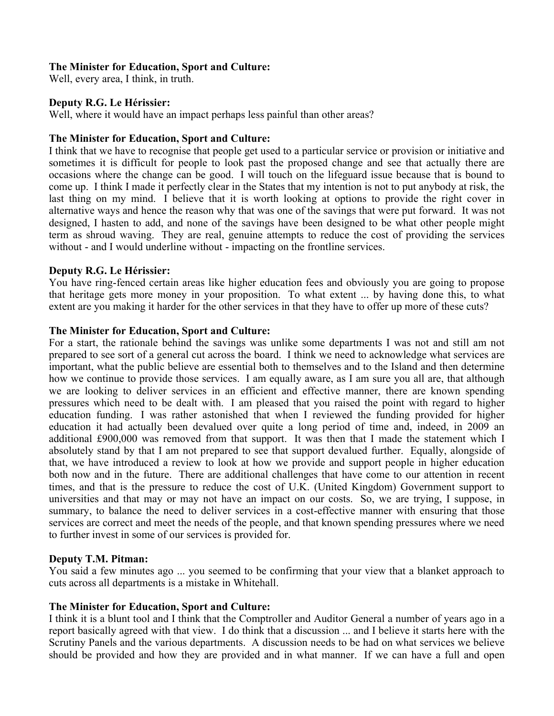# **The Minister for Education, Sport and Culture:**

Well, every area, I think, in truth.

# **Deputy R.G. Le Hérissier:**

Well, where it would have an impact perhaps less painful than other areas?

# **The Minister for Education, Sport and Culture:**

I think that we have to recognise that people get used to a particular service or provision or initiative and sometimes it is difficult for people to look past the proposed change and see that actually there are occasions where the change can be good. I will touch on the lifeguard issue because that is bound to come up. I think I made it perfectly clear in the States that my intention is not to put anybody at risk, the last thing on my mind. I believe that it is worth looking at options to provide the right cover in alternative ways and hence the reason why that was one of the savings that were put forward. It was not designed, I hasten to add, and none of the savings have been designed to be what other people might term as shroud waving. They are real, genuine attempts to reduce the cost of providing the services without - and I would underline without - impacting on the frontline services.

# **Deputy R.G. Le Hérissier:**

You have ring-fenced certain areas like higher education fees and obviously you are going to propose that heritage gets more money in your proposition. To what extent ... by having done this, to what extent are you making it harder for the other services in that they have to offer up more of these cuts?

# **The Minister for Education, Sport and Culture:**

For a start, the rationale behind the savings was unlike some departments I was not and still am not prepared to see sort of a general cut across the board. I think we need to acknowledge what services are important, what the public believe are essential both to themselves and to the Island and then determine how we continue to provide those services. I am equally aware, as I am sure you all are, that although we are looking to deliver services in an efficient and effective manner, there are known spending pressures which need to be dealt with. I am pleased that you raised the point with regard to higher education funding. I was rather astonished that when I reviewed the funding provided for higher education it had actually been devalued over quite a long period of time and, indeed, in 2009 an additional £900,000 was removed from that support. It was then that I made the statement which I absolutely stand by that I am not prepared to see that support devalued further. Equally, alongside of that, we have introduced a review to look at how we provide and support people in higher education both now and in the future. There are additional challenges that have come to our attention in recent times, and that is the pressure to reduce the cost of U.K. (United Kingdom) Government support to universities and that may or may not have an impact on our costs. So, we are trying, I suppose, in summary, to balance the need to deliver services in a cost-effective manner with ensuring that those services are correct and meet the needs of the people, and that known spending pressures where we need to further invest in some of our services is provided for.

# **Deputy T.M. Pitman:**

You said a few minutes ago ... you seemed to be confirming that your view that a blanket approach to cuts across all departments is a mistake in Whitehall.

# **The Minister for Education, Sport and Culture:**

I think it is a blunt tool and I think that the Comptroller and Auditor General a number of years ago in a report basically agreed with that view. I do think that a discussion ... and I believe it starts here with the Scrutiny Panels and the various departments. A discussion needs to be had on what services we believe should be provided and how they are provided and in what manner. If we can have a full and open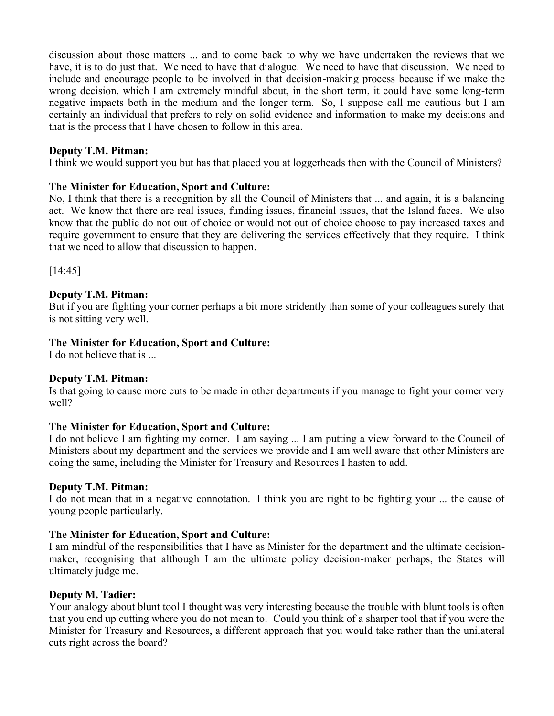discussion about those matters ... and to come back to why we have undertaken the reviews that we have, it is to do just that. We need to have that dialogue. We need to have that discussion. We need to include and encourage people to be involved in that decision-making process because if we make the wrong decision, which I am extremely mindful about, in the short term, it could have some long-term negative impacts both in the medium and the longer term. So, I suppose call me cautious but I am certainly an individual that prefers to rely on solid evidence and information to make my decisions and that is the process that I have chosen to follow in this area.

# **Deputy T.M. Pitman:**

I think we would support you but has that placed you at loggerheads then with the Council of Ministers?

# **The Minister for Education, Sport and Culture:**

No, I think that there is a recognition by all the Council of Ministers that ... and again, it is a balancing act. We know that there are real issues, funding issues, financial issues, that the Island faces. We also know that the public do not out of choice or would not out of choice choose to pay increased taxes and require government to ensure that they are delivering the services effectively that they require. I think that we need to allow that discussion to happen.

[14:45]

# **Deputy T.M. Pitman:**

But if you are fighting your corner perhaps a bit more stridently than some of your colleagues surely that is not sitting very well.

# **The Minister for Education, Sport and Culture:**

I do not believe that is ...

# **Deputy T.M. Pitman:**

Is that going to cause more cuts to be made in other departments if you manage to fight your corner very well?

# **The Minister for Education, Sport and Culture:**

I do not believe I am fighting my corner. I am saying ... I am putting a view forward to the Council of Ministers about my department and the services we provide and I am well aware that other Ministers are doing the same, including the Minister for Treasury and Resources I hasten to add.

# **Deputy T.M. Pitman:**

I do not mean that in a negative connotation. I think you are right to be fighting your ... the cause of young people particularly.

# **The Minister for Education, Sport and Culture:**

I am mindful of the responsibilities that I have as Minister for the department and the ultimate decisionmaker, recognising that although I am the ultimate policy decision-maker perhaps, the States will ultimately judge me.

# **Deputy M. Tadier:**

Your analogy about blunt tool I thought was very interesting because the trouble with blunt tools is often that you end up cutting where you do not mean to. Could you think of a sharper tool that if you were the Minister for Treasury and Resources, a different approach that you would take rather than the unilateral cuts right across the board?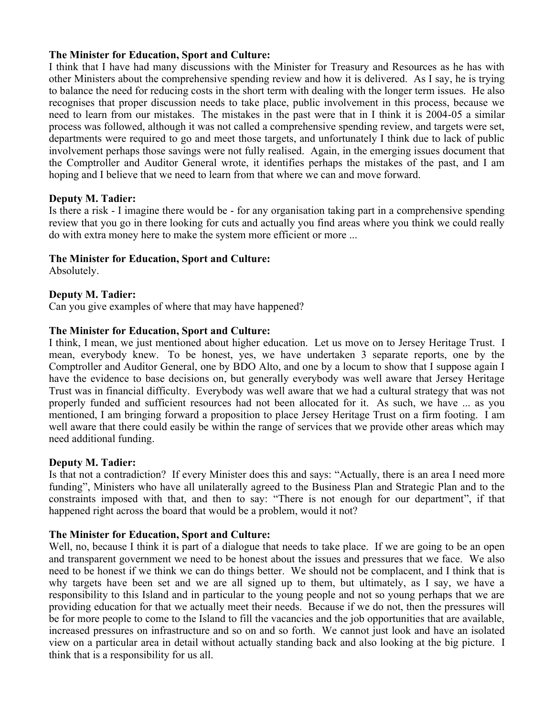# **The Minister for Education, Sport and Culture:**

I think that I have had many discussions with the Minister for Treasury and Resources as he has with other Ministers about the comprehensive spending review and how it is delivered. As I say, he is trying to balance the need for reducing costs in the short term with dealing with the longer term issues. He also recognises that proper discussion needs to take place, public involvement in this process, because we need to learn from our mistakes. The mistakes in the past were that in I think it is 2004-05 a similar process was followed, although it was not called a comprehensive spending review, and targets were set, departments were required to go and meet those targets, and unfortunately I think due to lack of public involvement perhaps those savings were not fully realised. Again, in the emerging issues document that the Comptroller and Auditor General wrote, it identifies perhaps the mistakes of the past, and I am hoping and I believe that we need to learn from that where we can and move forward.

# **Deputy M. Tadier:**

Is there a risk - I imagine there would be - for any organisation taking part in a comprehensive spending review that you go in there looking for cuts and actually you find areas where you think we could really do with extra money here to make the system more efficient or more ...

# **The Minister for Education, Sport and Culture:**

Absolutely.

# **Deputy M. Tadier:**

Can you give examples of where that may have happened?

# **The Minister for Education, Sport and Culture:**

I think, I mean, we just mentioned about higher education. Let us move on to Jersey Heritage Trust. I mean, everybody knew. To be honest, yes, we have undertaken 3 separate reports, one by the Comptroller and Auditor General, one by BDO Alto, and one by a locum to show that I suppose again I have the evidence to base decisions on, but generally everybody was well aware that Jersey Heritage Trust was in financial difficulty. Everybody was well aware that we had a cultural strategy that was not properly funded and sufficient resources had not been allocated for it. As such, we have ... as you mentioned, I am bringing forward a proposition to place Jersey Heritage Trust on a firm footing. I am well aware that there could easily be within the range of services that we provide other areas which may need additional funding.

# **Deputy M. Tadier:**

Is that not a contradiction? If every Minister does this and says: "Actually, there is an area I need more funding", Ministers who have all unilaterally agreed to the Business Plan and Strategic Plan and to the constraints imposed with that, and then to say: "There is not enough for our department", if that happened right across the board that would be a problem, would it not?

# **The Minister for Education, Sport and Culture:**

Well, no, because I think it is part of a dialogue that needs to take place. If we are going to be an open and transparent government we need to be honest about the issues and pressures that we face. We also need to be honest if we think we can do things better. We should not be complacent, and I think that is why targets have been set and we are all signed up to them, but ultimately, as I say, we have a responsibility to this Island and in particular to the young people and not so young perhaps that we are providing education for that we actually meet their needs. Because if we do not, then the pressures will be for more people to come to the Island to fill the vacancies and the job opportunities that are available, increased pressures on infrastructure and so on and so forth. We cannot just look and have an isolated view on a particular area in detail without actually standing back and also looking at the big picture. I think that is a responsibility for us all.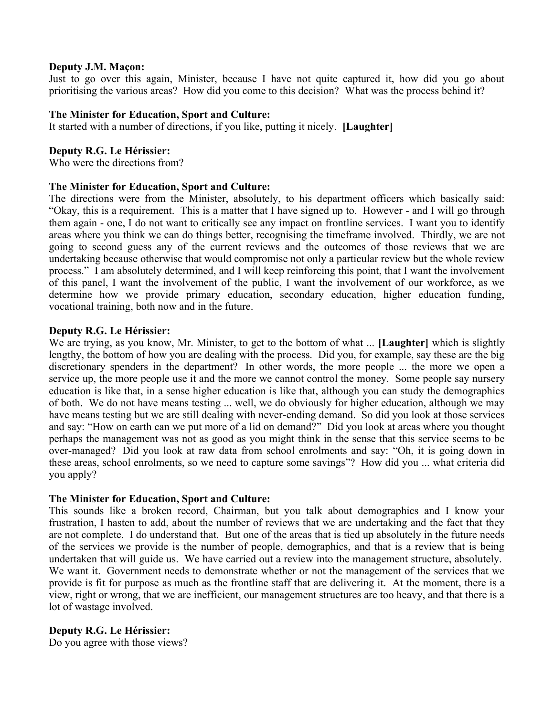# **Deputy J.M. Maçon:**

Just to go over this again, Minister, because I have not quite captured it, how did you go about prioritising the various areas? How did you come to this decision? What was the process behind it?

#### **The Minister for Education, Sport and Culture:**

It started with a number of directions, if you like, putting it nicely. **[Laughter]**

#### **Deputy R.G. Le Hérissier:**

Who were the directions from?

#### **The Minister for Education, Sport and Culture:**

The directions were from the Minister, absolutely, to his department officers which basically said: "Okay, this is a requirement. This is a matter that I have signed up to. However - and I will go through them again - one, I do not want to critically see any impact on frontline services. I want you to identify areas where you think we can do things better, recognising the timeframe involved. Thirdly, we are not going to second guess any of the current reviews and the outcomes of those reviews that we are undertaking because otherwise that would compromise not only a particular review but the whole review process." I am absolutely determined, and I will keep reinforcing this point, that I want the involvement of this panel, I want the involvement of the public, I want the involvement of our workforce, as we determine how we provide primary education, secondary education, higher education funding, vocational training, both now and in the future.

#### **Deputy R.G. Le Hérissier:**

We are trying, as you know, Mr. Minister, to get to the bottom of what ... **[Laughter]** which is slightly lengthy, the bottom of how you are dealing with the process. Did you, for example, say these are the big discretionary spenders in the department? In other words, the more people ... the more we open a service up, the more people use it and the more we cannot control the money. Some people say nursery education is like that, in a sense higher education is like that, although you can study the demographics of both. We do not have means testing ... well, we do obviously for higher education, although we may have means testing but we are still dealing with never-ending demand. So did you look at those services and say: "How on earth can we put more of a lid on demand?" Did you look at areas where you thought perhaps the management was not as good as you might think in the sense that this service seems to be over-managed? Did you look at raw data from school enrolments and say: "Oh, it is going down in these areas, school enrolments, so we need to capture some savings"? How did you ... what criteria did you apply?

#### **The Minister for Education, Sport and Culture:**

This sounds like a broken record, Chairman, but you talk about demographics and I know your frustration, I hasten to add, about the number of reviews that we are undertaking and the fact that they are not complete. I do understand that. But one of the areas that is tied up absolutely in the future needs of the services we provide is the number of people, demographics, and that is a review that is being undertaken that will guide us. We have carried out a review into the management structure, absolutely. We want it. Government needs to demonstrate whether or not the management of the services that we provide is fit for purpose as much as the frontline staff that are delivering it. At the moment, there is a view, right or wrong, that we are inefficient, our management structures are too heavy, and that there is a lot of wastage involved.

# **Deputy R.G. Le Hérissier:**

Do you agree with those views?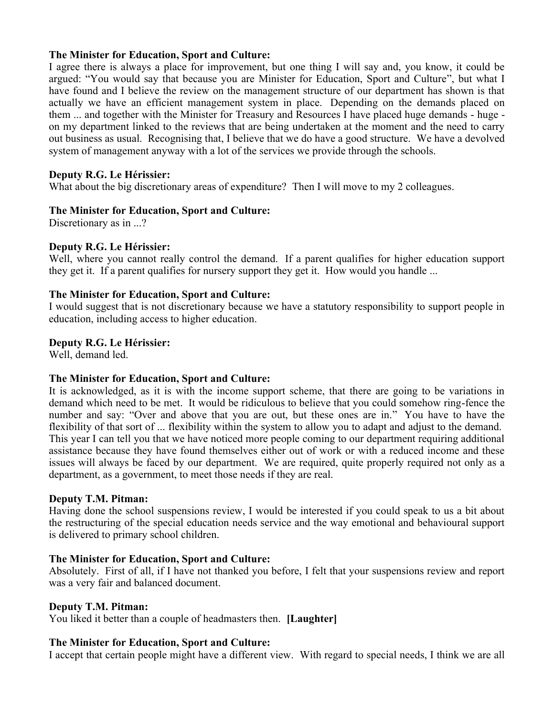# **The Minister for Education, Sport and Culture:**

I agree there is always a place for improvement, but one thing I will say and, you know, it could be argued: "You would say that because you are Minister for Education, Sport and Culture", but what I have found and I believe the review on the management structure of our department has shown is that actually we have an efficient management system in place. Depending on the demands placed on them ... and together with the Minister for Treasury and Resources I have placed huge demands - huge on my department linked to the reviews that are being undertaken at the moment and the need to carry out business as usual. Recognising that, I believe that we do have a good structure. We have a devolved system of management anyway with a lot of the services we provide through the schools.

# **Deputy R.G. Le Hérissier:**

What about the big discretionary areas of expenditure? Then I will move to my 2 colleagues.

# **The Minister for Education, Sport and Culture:**

Discretionary as in ...?

# **Deputy R.G. Le Hérissier:**

Well, where you cannot really control the demand. If a parent qualifies for higher education support they get it. If a parent qualifies for nursery support they get it. How would you handle ...

# **The Minister for Education, Sport and Culture:**

I would suggest that is not discretionary because we have a statutory responsibility to support people in education, including access to higher education.

# **Deputy R.G. Le Hérissier:**

Well, demand led.

# **The Minister for Education, Sport and Culture:**

It is acknowledged, as it is with the income support scheme, that there are going to be variations in demand which need to be met. It would be ridiculous to believe that you could somehow ring-fence the number and say: "Over and above that you are out, but these ones are in." You have to have the flexibility of that sort of ... flexibility within the system to allow you to adapt and adjust to the demand. This year I can tell you that we have noticed more people coming to our department requiring additional assistance because they have found themselves either out of work or with a reduced income and these issues will always be faced by our department. We are required, quite properly required not only as a department, as a government, to meet those needs if they are real.

# **Deputy T.M. Pitman:**

Having done the school suspensions review, I would be interested if you could speak to us a bit about the restructuring of the special education needs service and the way emotional and behavioural support is delivered to primary school children.

# **The Minister for Education, Sport and Culture:**

Absolutely. First of all, if I have not thanked you before, I felt that your suspensions review and report was a very fair and balanced document.

# **Deputy T.M. Pitman:**

You liked it better than a couple of headmasters then. **[Laughter]**

# **The Minister for Education, Sport and Culture:**

I accept that certain people might have a different view. With regard to special needs, I think we are all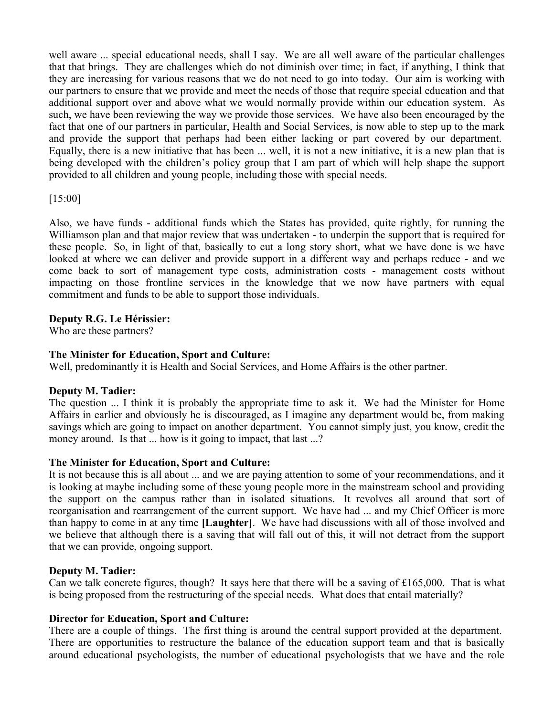well aware ... special educational needs, shall I say. We are all well aware of the particular challenges that that brings. They are challenges which do not diminish over time; in fact, if anything, I think that they are increasing for various reasons that we do not need to go into today. Our aim is working with our partners to ensure that we provide and meet the needs of those that require special education and that additional support over and above what we would normally provide within our education system. As such, we have been reviewing the way we provide those services. We have also been encouraged by the fact that one of our partners in particular, Health and Social Services, is now able to step up to the mark and provide the support that perhaps had been either lacking or part covered by our department. Equally, there is a new initiative that has been ... well, it is not a new initiative, it is a new plan that is being developed with the children's policy group that I am part of which will help shape the support provided to all children and young people, including those with special needs.

# [15:00]

Also, we have funds - additional funds which the States has provided, quite rightly, for running the Williamson plan and that major review that was undertaken - to underpin the support that is required for these people. So, in light of that, basically to cut a long story short, what we have done is we have looked at where we can deliver and provide support in a different way and perhaps reduce - and we come back to sort of management type costs, administration costs - management costs without impacting on those frontline services in the knowledge that we now have partners with equal commitment and funds to be able to support those individuals.

# **Deputy R.G. Le Hérissier:**

Who are these partners?

# **The Minister for Education, Sport and Culture:**

Well, predominantly it is Health and Social Services, and Home Affairs is the other partner.

# **Deputy M. Tadier:**

The question ... I think it is probably the appropriate time to ask it. We had the Minister for Home Affairs in earlier and obviously he is discouraged, as I imagine any department would be, from making savings which are going to impact on another department. You cannot simply just, you know, credit the money around. Is that ... how is it going to impact, that last ...?

# **The Minister for Education, Sport and Culture:**

It is not because this is all about ... and we are paying attention to some of your recommendations, and it is looking at maybe including some of these young people more in the mainstream school and providing the support on the campus rather than in isolated situations. It revolves all around that sort of reorganisation and rearrangement of the current support. We have had ... and my Chief Officer is more than happy to come in at any time **[Laughter]**. We have had discussions with all of those involved and we believe that although there is a saving that will fall out of this, it will not detract from the support that we can provide, ongoing support.

# **Deputy M. Tadier:**

Can we talk concrete figures, though? It says here that there will be a saving of £165,000. That is what is being proposed from the restructuring of the special needs. What does that entail materially?

# **Director for Education, Sport and Culture:**

There are a couple of things. The first thing is around the central support provided at the department. There are opportunities to restructure the balance of the education support team and that is basically around educational psychologists, the number of educational psychologists that we have and the role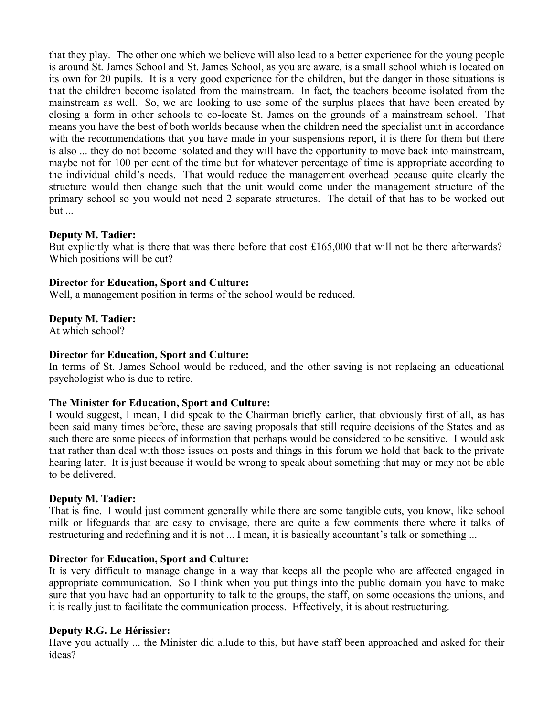that they play. The other one which we believe will also lead to a better experience for the young people is around St. James School and St. James School, as you are aware, is a small school which is located on its own for 20 pupils. It is a very good experience for the children, but the danger in those situations is that the children become isolated from the mainstream. In fact, the teachers become isolated from the mainstream as well. So, we are looking to use some of the surplus places that have been created by closing a form in other schools to co-locate St. James on the grounds of a mainstream school. That means you have the best of both worlds because when the children need the specialist unit in accordance with the recommendations that you have made in your suspensions report, it is there for them but there is also ... they do not become isolated and they will have the opportunity to move back into mainstream, maybe not for 100 per cent of the time but for whatever percentage of time is appropriate according to the individual child's needs. That would reduce the management overhead because quite clearly the structure would then change such that the unit would come under the management structure of the primary school so you would not need 2 separate structures. The detail of that has to be worked out  $but \dots$ 

# **Deputy M. Tadier:**

But explicitly what is there that was there before that cost  $£165,000$  that will not be there afterwards? Which positions will be cut?

# **Director for Education, Sport and Culture:**

Well, a management position in terms of the school would be reduced.

# **Deputy M. Tadier:**

At which school?

# **Director for Education, Sport and Culture:**

In terms of St. James School would be reduced, and the other saving is not replacing an educational psychologist who is due to retire.

# **The Minister for Education, Sport and Culture:**

I would suggest, I mean, I did speak to the Chairman briefly earlier, that obviously first of all, as has been said many times before, these are saving proposals that still require decisions of the States and as such there are some pieces of information that perhaps would be considered to be sensitive. I would ask that rather than deal with those issues on posts and things in this forum we hold that back to the private hearing later. It is just because it would be wrong to speak about something that may or may not be able to be delivered.

# **Deputy M. Tadier:**

That is fine. I would just comment generally while there are some tangible cuts, you know, like school milk or lifeguards that are easy to envisage, there are quite a few comments there where it talks of restructuring and redefining and it is not ... I mean, it is basically accountant's talk or something ...

# **Director for Education, Sport and Culture:**

It is very difficult to manage change in a way that keeps all the people who are affected engaged in appropriate communication. So I think when you put things into the public domain you have to make sure that you have had an opportunity to talk to the groups, the staff, on some occasions the unions, and it is really just to facilitate the communication process. Effectively, it is about restructuring.

# **Deputy R.G. Le Hérissier:**

Have you actually ... the Minister did allude to this, but have staff been approached and asked for their ideas?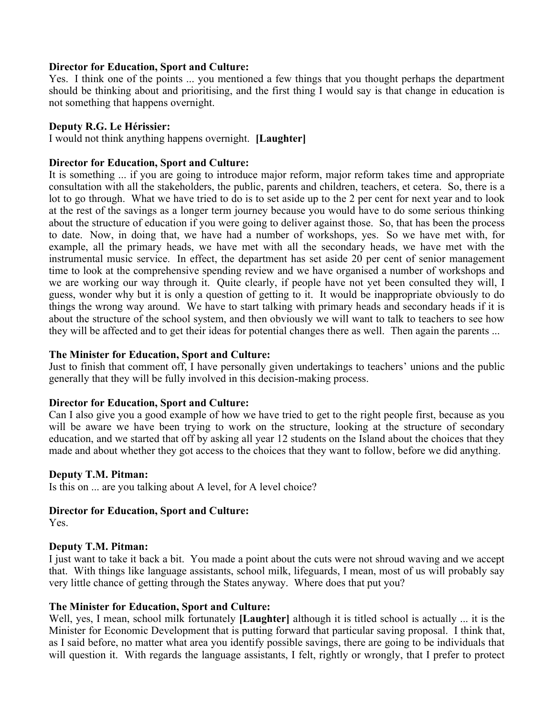# **Director for Education, Sport and Culture:**

Yes. I think one of the points ... you mentioned a few things that you thought perhaps the department should be thinking about and prioritising, and the first thing I would say is that change in education is not something that happens overnight.

# **Deputy R.G. Le Hérissier:**

I would not think anything happens overnight. **[Laughter]**

# **Director for Education, Sport and Culture:**

It is something ... if you are going to introduce major reform, major reform takes time and appropriate consultation with all the stakeholders, the public, parents and children, teachers, et cetera. So, there is a lot to go through. What we have tried to do is to set aside up to the 2 per cent for next year and to look at the rest of the savings as a longer term journey because you would have to do some serious thinking about the structure of education if you were going to deliver against those. So, that has been the process to date. Now, in doing that, we have had a number of workshops, yes. So we have met with, for example, all the primary heads, we have met with all the secondary heads, we have met with the instrumental music service. In effect, the department has set aside 20 per cent of senior management time to look at the comprehensive spending review and we have organised a number of workshops and we are working our way through it. Quite clearly, if people have not yet been consulted they will, I guess, wonder why but it is only a question of getting to it. It would be inappropriate obviously to do things the wrong way around. We have to start talking with primary heads and secondary heads if it is about the structure of the school system, and then obviously we will want to talk to teachers to see how they will be affected and to get their ideas for potential changes there as well. Then again the parents ...

# **The Minister for Education, Sport and Culture:**

Just to finish that comment off, I have personally given undertakings to teachers' unions and the public generally that they will be fully involved in this decision-making process.

# **Director for Education, Sport and Culture:**

Can I also give you a good example of how we have tried to get to the right people first, because as you will be aware we have been trying to work on the structure, looking at the structure of secondary education, and we started that off by asking all year 12 students on the Island about the choices that they made and about whether they got access to the choices that they want to follow, before we did anything.

# **Deputy T.M. Pitman:**

Is this on ... are you talking about A level, for A level choice?

# **Director for Education, Sport and Culture:**

Yes.

# **Deputy T.M. Pitman:**

I just want to take it back a bit. You made a point about the cuts were not shroud waving and we accept that. With things like language assistants, school milk, lifeguards, I mean, most of us will probably say very little chance of getting through the States anyway. Where does that put you?

# **The Minister for Education, Sport and Culture:**

Well, yes, I mean, school milk fortunately **[Laughter]** although it is titled school is actually ... it is the Minister for Economic Development that is putting forward that particular saving proposal. I think that, as I said before, no matter what area you identify possible savings, there are going to be individuals that will question it. With regards the language assistants, I felt, rightly or wrongly, that I prefer to protect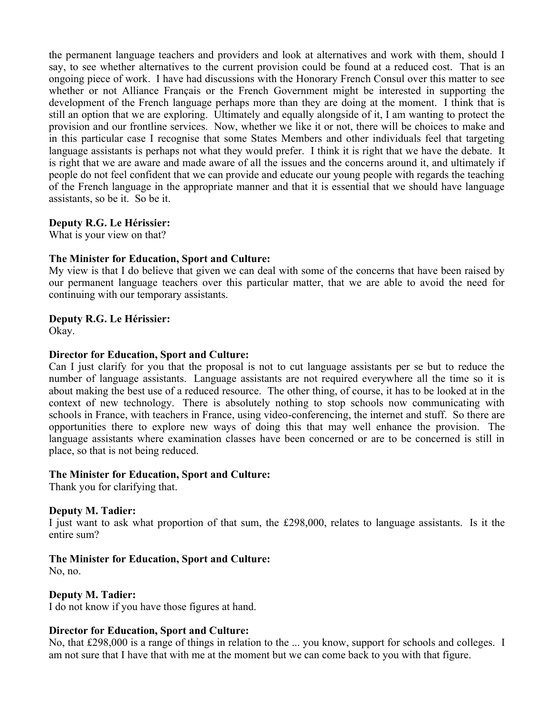the permanent language teachers and providers and look at alternatives and work with them, should I say, to see whether alternatives to the current provision could be found at a reduced cost. That is an ongoing piece of work. I have had discussions with the Honorary French Consul over this matter to see whether or not Alliance Français or the French Government might be interested in supporting the development of the French language perhaps more than they are doing at the moment. I think that is still an option that we are exploring. Ultimately and equally alongside of it, I am wanting to protect the provision and our frontline services. Now, whether we like it or not, there will be choices to make and in this particular case I recognise that some States Members and other individuals feel that targeting language assistants is perhaps not what they would prefer. I think it is right that we have the debate. It is right that we are aware and made aware of all the issues and the concerns around it, and ultimately if people do not feel confident that we can provide and educate our young people with regards the teaching of the French language in the appropriate manner and that it is essential that we should have language assistants, so be it. So be it.

# **Deputy R.G. Le Hérissier:**

What is your view on that?

# **The Minister for Education, Sport and Culture:**

My view is that I do believe that given we can deal with some of the concerns that have been raised by our permanent language teachers over this particular matter, that we are able to avoid the need for continuing with our temporary assistants.

# **Deputy R.G. Le Hérissier:**

Okay.

# **Director for Education, Sport and Culture:**

Can I just clarify for you that the proposal is not to cut language assistants per se but to reduce the number of language assistants. Language assistants are not required everywhere all the time so it is about making the best use of a reduced resource. The other thing, of course, it has to be looked at in the context of new technology. There is absolutely nothing to stop schools now communicating with schools in France, with teachers in France, using video-conferencing, the internet and stuff. So there are opportunities there to explore new ways of doing this that may well enhance the provision. The language assistants where examination classes have been concerned or are to be concerned is still in place, so that is not being reduced.

# **The Minister for Education, Sport and Culture:**

Thank you for clarifying that.

# **Deputy M. Tadier:**

I just want to ask what proportion of that sum, the £298,000, relates to language assistants. Is it the entire sum?

# **The Minister for Education, Sport and Culture:**

No, no.

# **Deputy M. Tadier:**

I do not know if you have those figures at hand.

# **Director for Education, Sport and Culture:**

No, that £298,000 is a range of things in relation to the ... you know, support for schools and colleges. I am not sure that I have that with me at the moment but we can come back to you with that figure.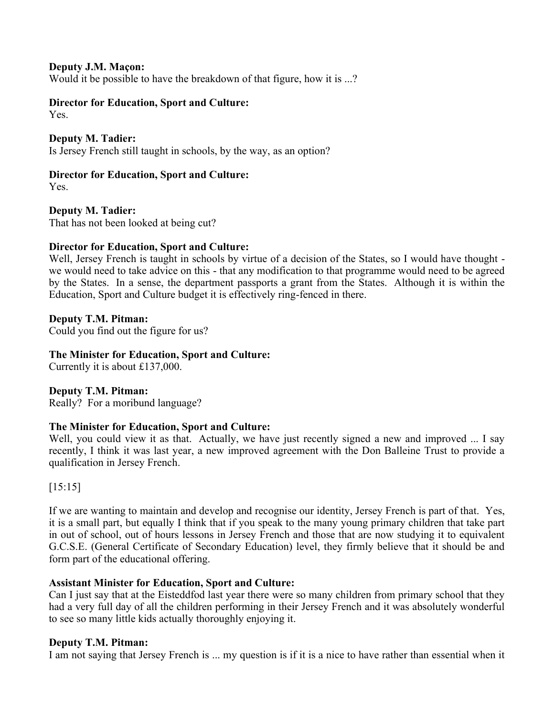# **Deputy J.M. Maçon:**

Would it be possible to have the breakdown of that figure, how it is ...?

# **Director for Education, Sport and Culture:**

Yes.

# **Deputy M. Tadier:**

Is Jersey French still taught in schools, by the way, as an option?

# **Director for Education, Sport and Culture:**

Yes.

# **Deputy M. Tadier:**

That has not been looked at being cut?

# **Director for Education, Sport and Culture:**

Well, Jersey French is taught in schools by virtue of a decision of the States, so I would have thought we would need to take advice on this - that any modification to that programme would need to be agreed by the States. In a sense, the department passports a grant from the States. Although it is within the Education, Sport and Culture budget it is effectively ring-fenced in there.

# **Deputy T.M. Pitman:**

Could you find out the figure for us?

# **The Minister for Education, Sport and Culture:**

Currently it is about £137,000.

# **Deputy T.M. Pitman:**

Really? For a moribund language?

# **The Minister for Education, Sport and Culture:**

Well, you could view it as that. Actually, we have just recently signed a new and improved ... I say recently, I think it was last year, a new improved agreement with the Don Balleine Trust to provide a qualification in Jersey French.

# [15:15]

If we are wanting to maintain and develop and recognise our identity, Jersey French is part of that. Yes, it is a small part, but equally I think that if you speak to the many young primary children that take part in out of school, out of hours lessons in Jersey French and those that are now studying it to equivalent G.C.S.E. (General Certificate of Secondary Education) level, they firmly believe that it should be and form part of the educational offering.

# **Assistant Minister for Education, Sport and Culture:**

Can I just say that at the Eisteddfod last year there were so many children from primary school that they had a very full day of all the children performing in their Jersey French and it was absolutely wonderful to see so many little kids actually thoroughly enjoying it.

# **Deputy T.M. Pitman:**

I am not saying that Jersey French is ... my question is if it is a nice to have rather than essential when it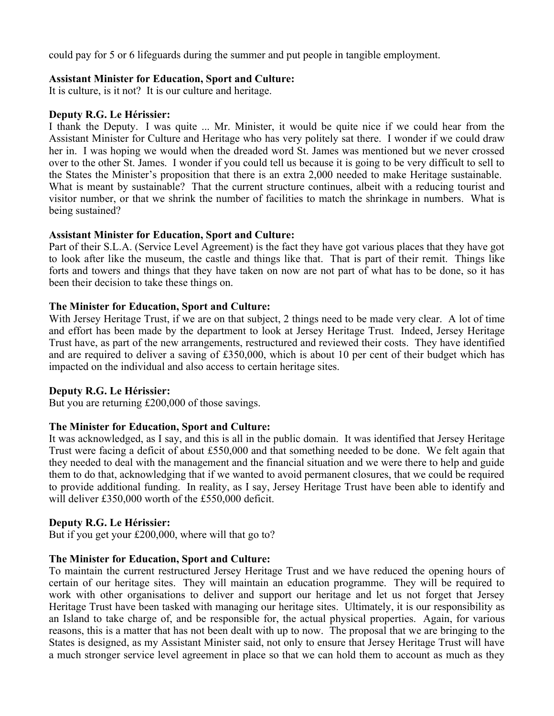could pay for 5 or 6 lifeguards during the summer and put people in tangible employment.

# **Assistant Minister for Education, Sport and Culture:**

It is culture, is it not? It is our culture and heritage.

# **Deputy R.G. Le Hérissier:**

I thank the Deputy. I was quite ... Mr. Minister, it would be quite nice if we could hear from the Assistant Minister for Culture and Heritage who has very politely sat there. I wonder if we could draw her in. I was hoping we would when the dreaded word St. James was mentioned but we never crossed over to the other St. James. I wonder if you could tell us because it is going to be very difficult to sell to the States the Minister's proposition that there is an extra 2,000 needed to make Heritage sustainable. What is meant by sustainable? That the current structure continues, albeit with a reducing tourist and visitor number, or that we shrink the number of facilities to match the shrinkage in numbers. What is being sustained?

# **Assistant Minister for Education, Sport and Culture:**

Part of their S.L.A. (Service Level Agreement) is the fact they have got various places that they have got to look after like the museum, the castle and things like that. That is part of their remit. Things like forts and towers and things that they have taken on now are not part of what has to be done, so it has been their decision to take these things on.

# **The Minister for Education, Sport and Culture:**

With Jersey Heritage Trust, if we are on that subject, 2 things need to be made very clear. A lot of time and effort has been made by the department to look at Jersey Heritage Trust. Indeed, Jersey Heritage Trust have, as part of the new arrangements, restructured and reviewed their costs. They have identified and are required to deliver a saving of £350,000, which is about 10 per cent of their budget which has impacted on the individual and also access to certain heritage sites.

#### **Deputy R.G. Le Hérissier:**

But you are returning £200,000 of those savings.

# **The Minister for Education, Sport and Culture:**

It was acknowledged, as I say, and this is all in the public domain. It was identified that Jersey Heritage Trust were facing a deficit of about £550,000 and that something needed to be done. We felt again that they needed to deal with the management and the financial situation and we were there to help and guide them to do that, acknowledging that if we wanted to avoid permanent closures, that we could be required to provide additional funding. In reality, as I say, Jersey Heritage Trust have been able to identify and will deliver £350,000 worth of the £550,000 deficit.

# **Deputy R.G. Le Hérissier:**

But if you get your £200,000, where will that go to?

# **The Minister for Education, Sport and Culture:**

To maintain the current restructured Jersey Heritage Trust and we have reduced the opening hours of certain of our heritage sites. They will maintain an education programme. They will be required to work with other organisations to deliver and support our heritage and let us not forget that Jersey Heritage Trust have been tasked with managing our heritage sites. Ultimately, it is our responsibility as an Island to take charge of, and be responsible for, the actual physical properties. Again, for various reasons, this is a matter that has not been dealt with up to now. The proposal that we are bringing to the States is designed, as my Assistant Minister said, not only to ensure that Jersey Heritage Trust will have a much stronger service level agreement in place so that we can hold them to account as much as they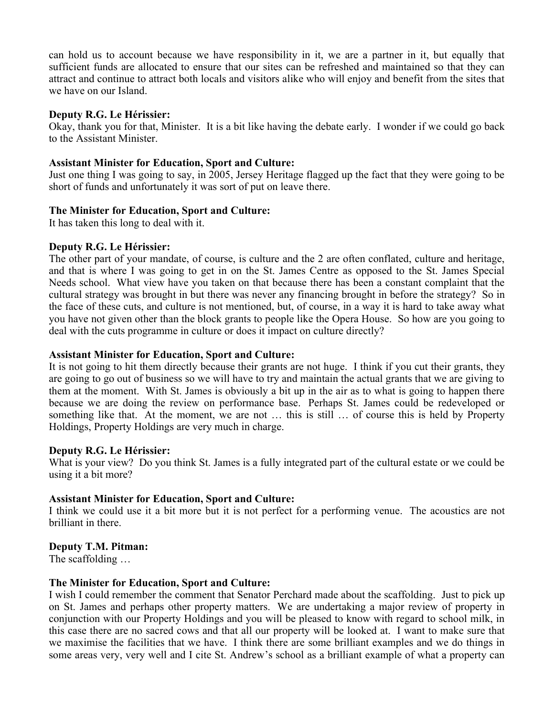can hold us to account because we have responsibility in it, we are a partner in it, but equally that sufficient funds are allocated to ensure that our sites can be refreshed and maintained so that they can attract and continue to attract both locals and visitors alike who will enjoy and benefit from the sites that we have on our Island.

#### **Deputy R.G. Le Hérissier:**

Okay, thank you for that, Minister. It is a bit like having the debate early. I wonder if we could go back to the Assistant Minister.

#### **Assistant Minister for Education, Sport and Culture:**

Just one thing I was going to say, in 2005, Jersey Heritage flagged up the fact that they were going to be short of funds and unfortunately it was sort of put on leave there.

#### **The Minister for Education, Sport and Culture:**

It has taken this long to deal with it.

#### **Deputy R.G. Le Hérissier:**

The other part of your mandate, of course, is culture and the 2 are often conflated, culture and heritage, and that is where I was going to get in on the St. James Centre as opposed to the St. James Special Needs school. What view have you taken on that because there has been a constant complaint that the cultural strategy was brought in but there was never any financing brought in before the strategy? So in the face of these cuts, and culture is not mentioned, but, of course, in a way it is hard to take away what you have not given other than the block grants to people like the Opera House. So how are you going to deal with the cuts programme in culture or does it impact on culture directly?

#### **Assistant Minister for Education, Sport and Culture:**

It is not going to hit them directly because their grants are not huge. I think if you cut their grants, they are going to go out of business so we will have to try and maintain the actual grants that we are giving to them at the moment. With St. James is obviously a bit up in the air as to what is going to happen there because we are doing the review on performance base. Perhaps St. James could be redeveloped or something like that. At the moment, we are not … this is still … of course this is held by Property Holdings, Property Holdings are very much in charge.

#### **Deputy R.G. Le Hérissier:**

What is your view? Do you think St. James is a fully integrated part of the cultural estate or we could be using it a bit more?

# **Assistant Minister for Education, Sport and Culture:**

I think we could use it a bit more but it is not perfect for a performing venue. The acoustics are not brilliant in there.

# **Deputy T.M. Pitman:**

The scaffolding …

#### **The Minister for Education, Sport and Culture:**

I wish I could remember the comment that Senator Perchard made about the scaffolding. Just to pick up on St. James and perhaps other property matters. We are undertaking a major review of property in conjunction with our Property Holdings and you will be pleased to know with regard to school milk, in this case there are no sacred cows and that all our property will be looked at. I want to make sure that we maximise the facilities that we have. I think there are some brilliant examples and we do things in some areas very, very well and I cite St. Andrew's school as a brilliant example of what a property can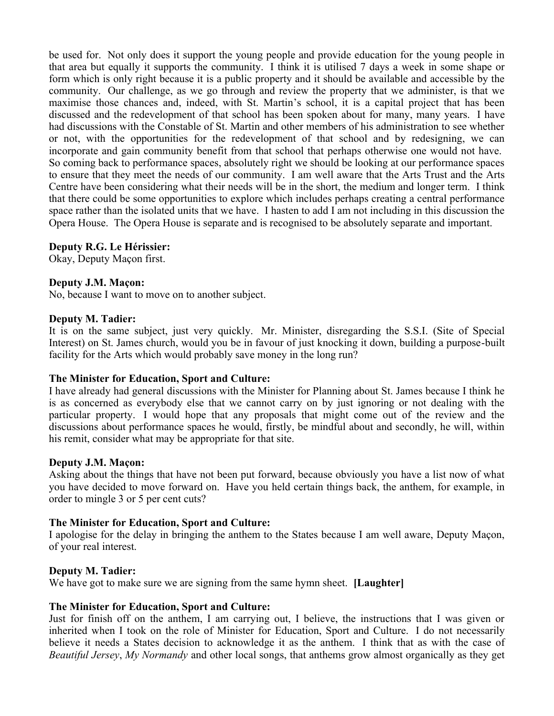be used for. Not only does it support the young people and provide education for the young people in that area but equally it supports the community. I think it is utilised 7 days a week in some shape or form which is only right because it is a public property and it should be available and accessible by the community. Our challenge, as we go through and review the property that we administer, is that we maximise those chances and, indeed, with St. Martin's school, it is a capital project that has been discussed and the redevelopment of that school has been spoken about for many, many years. I have had discussions with the Constable of St. Martin and other members of his administration to see whether or not, with the opportunities for the redevelopment of that school and by redesigning, we can incorporate and gain community benefit from that school that perhaps otherwise one would not have. So coming back to performance spaces, absolutely right we should be looking at our performance spaces to ensure that they meet the needs of our community. I am well aware that the Arts Trust and the Arts Centre have been considering what their needs will be in the short, the medium and longer term. I think that there could be some opportunities to explore which includes perhaps creating a central performance space rather than the isolated units that we have. I hasten to add I am not including in this discussion the Opera House. The Opera House is separate and is recognised to be absolutely separate and important.

# **Deputy R.G. Le Hérissier:**

Okay, Deputy Maçon first.

#### **Deputy J.M. Maçon:**

No, because I want to move on to another subject.

#### **Deputy M. Tadier:**

It is on the same subject, just very quickly. Mr. Minister, disregarding the S.S.I. (Site of Special Interest) on St. James church, would you be in favour of just knocking it down, building a purpose-built facility for the Arts which would probably save money in the long run?

#### **The Minister for Education, Sport and Culture:**

I have already had general discussions with the Minister for Planning about St. James because I think he is as concerned as everybody else that we cannot carry on by just ignoring or not dealing with the particular property. I would hope that any proposals that might come out of the review and the discussions about performance spaces he would, firstly, be mindful about and secondly, he will, within his remit, consider what may be appropriate for that site.

#### **Deputy J.M. Maçon:**

Asking about the things that have not been put forward, because obviously you have a list now of what you have decided to move forward on. Have you held certain things back, the anthem, for example, in order to mingle 3 or 5 per cent cuts?

#### **The Minister for Education, Sport and Culture:**

I apologise for the delay in bringing the anthem to the States because I am well aware, Deputy Maçon, of your real interest.

#### **Deputy M. Tadier:**

We have got to make sure we are signing from the same hymn sheet. **[Laughter]**

#### **The Minister for Education, Sport and Culture:**

Just for finish off on the anthem, I am carrying out, I believe, the instructions that I was given or inherited when I took on the role of Minister for Education, Sport and Culture. I do not necessarily believe it needs a States decision to acknowledge it as the anthem. I think that as with the case of *Beautiful Jersey*, *My Normandy* and other local songs, that anthems grow almost organically as they get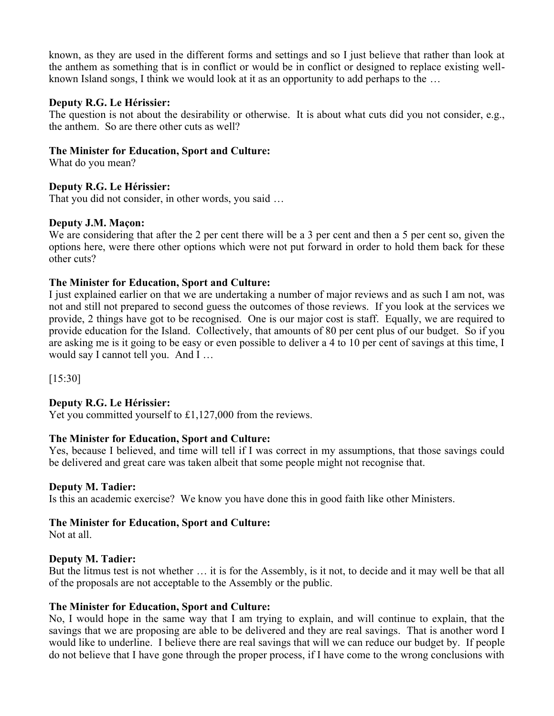known, as they are used in the different forms and settings and so I just believe that rather than look at the anthem as something that is in conflict or would be in conflict or designed to replace existing wellknown Island songs, I think we would look at it as an opportunity to add perhaps to the …

# **Deputy R.G. Le Hérissier:**

The question is not about the desirability or otherwise. It is about what cuts did you not consider, e.g., the anthem. So are there other cuts as well?

# **The Minister for Education, Sport and Culture:**

What do you mean?

# **Deputy R.G. Le Hérissier:**

That you did not consider, in other words, you said …

# **Deputy J.M. Maçon:**

We are considering that after the 2 per cent there will be a 3 per cent and then a 5 per cent so, given the options here, were there other options which were not put forward in order to hold them back for these other cuts?

# **The Minister for Education, Sport and Culture:**

I just explained earlier on that we are undertaking a number of major reviews and as such I am not, was not and still not prepared to second guess the outcomes of those reviews. If you look at the services we provide, 2 things have got to be recognised. One is our major cost is staff. Equally, we are required to provide education for the Island. Collectively, that amounts of 80 per cent plus of our budget. So if you are asking me is it going to be easy or even possible to deliver a 4 to 10 per cent of savings at this time, I would say I cannot tell you. And I …

[15:30]

# **Deputy R.G. Le Hérissier:**

Yet you committed yourself to £1,127,000 from the reviews.

# **The Minister for Education, Sport and Culture:**

Yes, because I believed, and time will tell if I was correct in my assumptions, that those savings could be delivered and great care was taken albeit that some people might not recognise that.

# **Deputy M. Tadier:**

Is this an academic exercise? We know you have done this in good faith like other Ministers.

# **The Minister for Education, Sport and Culture:**

Not at all.

# **Deputy M. Tadier:**

But the litmus test is not whether … it is for the Assembly, is it not, to decide and it may well be that all of the proposals are not acceptable to the Assembly or the public.

# **The Minister for Education, Sport and Culture:**

No, I would hope in the same way that I am trying to explain, and will continue to explain, that the savings that we are proposing are able to be delivered and they are real savings. That is another word I would like to underline. I believe there are real savings that will we can reduce our budget by. If people do not believe that I have gone through the proper process, if I have come to the wrong conclusions with